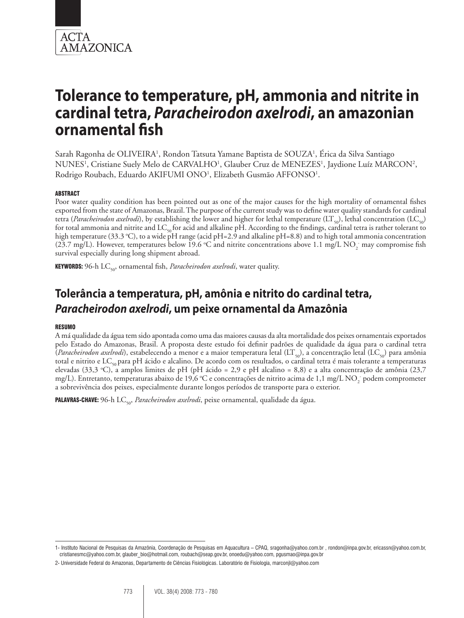

Sarah Ragonha de OLIVEIRA<sup>1</sup>, Rondon Tatsuta Yamane Baptista de SOUZA<sup>1</sup>, Érica da Silva Santiago NUNES<sup>1</sup>, Cristiane Suely Melo de CARVALHO<sup>1</sup>, Glauber Cruz de MENEZES<sup>1</sup>, Jaydione Luíz MARCON<sup>2</sup>, Rodrigo Roubach, Eduardo AKIFUMI ONO<sup>1</sup>, Elizabeth Gusmão AFFONSO<sup>1</sup>.

# ABSTRACT

Poor water quality condition has been pointed out as one of the major causes for the high mortality of ornamental fishes exported from the state of Amazonas, Brazil. The purpose of the current study was to define water quality standards for cardinal tetra (*Paracheirodon axelrodi*), by establishing the lower and higher for lethal temperature (LT<sub>50</sub>), lethal concentration (LC<sub>50</sub>) for total ammonia and nitrite and  $LC_{50}$  for acid and alkaline pH. According to the findings, cardinal tetra is rather tolerant to high temperature (33.3 °C), to a wide pH range (acid pH=2.9 and alkaline pH=8.8) and to high total ammonia concentration (23.7 mg/L). However, temperatures below 19.6 °C and nitrite concentrations above 1.1 mg/L NO<sub>2</sub> may compromise fish survival especially during long shipment abroad.

KEYWORDS: 96-h LC<sub>50</sub>, ornamental fish, *Paracheirodon axelrodi*, water quality.

# **Tolerância a temperatura, pH, amônia e nitrito do cardinal tetra,**  *Paracheirodon axelrodi***, um peixe ornamental da Amazônia**

### **RESUMO**

A má qualidade da água tem sido apontada como uma das maiores causas da alta mortalidade dos peixes ornamentais exportados pelo Estado do Amazonas, Brasil. A proposta deste estudo foi definir padrões de qualidade da água para o cardinal tetra (*Paracheirodon axelrodi*), estabelecendo a menor e a maior temperatura letal (LT<sub>50</sub>), a concentração letal (LC<sub>50</sub>) para amônia total e nitrito e LC<sub>50</sub> para pH ácido e alcalino. De acordo com os resultados, o cardinal tetra é mais tolerante a temperaturas elevadas (33,3 °C), a amplos limites de pH (pH ácido = 2,9 e pH alcalino = 8,8) e a alta concentração de amônia (23,7 mg/L). Entretanto, temperaturas abaixo de 19,6 °C e concentrações de nitrito acima de 1,1 mg/L NO<sub>2</sub> podem comprometer a sobrevivência dos peixes, especialmente durante longos períodos de transporte para o exterior.

PALAVRAS-CHAVE: 96-h LC<sub>50</sub>, Paracheirodon axelrodi, peixe ornamental, qualidade da água.

<sup>1-</sup> Instituto Nacional de Pesquisas da Amazônia, Coordenação de Pesquisas em Aquacultura – CPAQ, sragonha@yahoo.com.br , rondon@inpa.gov.br, ericassn@yahoo.com.br, cristianesmc@yahoo.com.br, glauber\_bio@hotmail.com, roubach@seap.gov.br, onoedu@yahoo.com, pgusmao@inpa.gov.br

<sup>2-</sup> Universidade Federal do Amazonas, Departamento de Ciências Fisiológicas. Laboratório de Fisiologia, marconjl@yahoo.com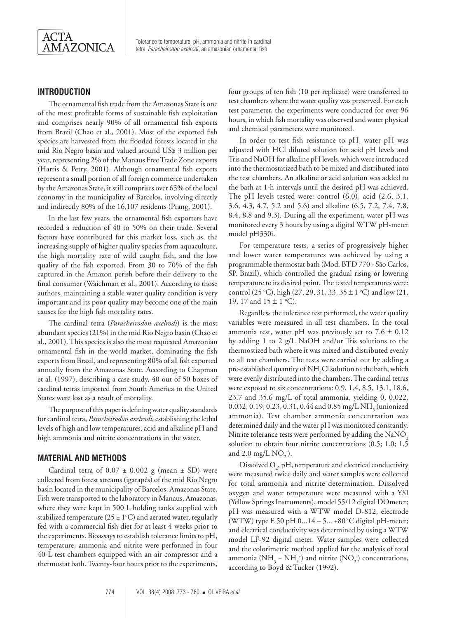

# **INTRODUCTION**

The ornamental fish trade from the Amazonas State is one of the most profitable forms of sustainable fish exploitation and comprises nearly 90% of all ornamental fish exports from Brazil (Chao et al., 2001). Most of the exported fish species are harvested from the flooded forests located in the mid Rio Negro basin and valued around US\$ 3 million per year, representing 2% of the Manaus Free Trade Zone exports (Harris & Petry, 2001). Although ornamental fish exports represent a small portion of all foreign commerce undertaken by the Amazonas State, it still comprises over 65% of the local economy in the municipality of Barcelos, involving directly and indirectly 80% of the 16,107 residents (Prang, 2001).

In the last few years, the ornamental fish exporters have recorded a reduction of 40 to 50% on their trade. Several factors have contributed for this market loss, such as, the increasing supply of higher quality species from aquaculture, the high mortality rate of wild caught fish, and the low quality of the fish exported. From 30 to 70% of the fish captured in the Amazon perish before their delivery to the final consumer (Waichman et al., 2001). According to those authors, maintaining a stable water quality condition is very important and its poor quality may become one of the main causes for the high fish mortality rates.

The cardinal tetra (*Paracheirodon axelrodi*) is the most abundant species (21%) in the mid Rio Negro basin (Chao et al., 2001). This species is also the most requested Amazonian ornamental fish in the world market, dominating the fish exports from Brazil, and representing 80% of all fish exported annually from the Amazonas State. According to Chapman et al. (1997), describing a case study, 40 out of 50 boxes of cardinal tetras imported from South America to the United States were lost as a result of mortality.

The purpose of this paper is defining water quality standards for cardinal tetra, *Paracheirodon axelrodi*, establishing the lethal levels of high and low temperatures, acid and alkaline pH and high ammonia and nitrite concentrations in the water.

### **MATERIAL AND METHODS**

Cardinal tetra of  $0.07 \pm 0.002$  g (mean  $\pm$  SD) were collected from forest streams (igarapés) of the mid Rio Negro basin located in the municipality of Barcelos, Amazonas State. Fish were transported to the laboratory in Manaus, Amazonas, where they were kept in 500 L holding tanks supplied with stabilized temperature ( $25 \pm 1$ °C) and aerated water, regularly fed with a commercial fish diet for at least 4 weeks prior to the experiments. Bioassays to establish tolerance limits to pH, temperature, ammonia and nitrite were performed in four 40-L test chambers equipped with an air compressor and a thermostat bath. Twenty-four hours prior to the experiments,

four groups of ten fish (10 per replicate) were transferred to test chambers where the water quality was preserved. For each test parameter, the experiments were conducted for over 96 hours, in which fish mortality was observed and water physical and chemical parameters were monitored.

In order to test fish resistance to pH, water pH was adjusted with HCl diluted solution for acid pH levels and Tris and NaOH for alkaline pH levels, which were introduced into the thermostatized bath to be mixed and distributed into the test chambers. An alkaline or acid solution was added to the bath at 1-h intervals until the desired pH was achieved. The pH levels tested were: control (6.0), acid (2.6, 3.1, 3.6, 4.3, 4.7, 5.2 and 5.6) and alkaline (6.5, 7.2, 7.4, 7.8, 8.4, 8.8 and 9.3). During all the experiment, water pH was monitored every 3 hours by using a digital WTW pH-meter model pH330i.

For temperature tests, a series of progressively higher and lower water temperatures was achieved by using a programmable thermostat bath (Mod. BTD 770 - São Carlos, SP, Brazil), which controlled the gradual rising or lowering temperature to its desired point. The tested temperatures were: control (25 °C), high (27, 29, 31, 33, 35  $\pm$  1 °C) and low (21, 19, 17 and  $15 \pm 1$  °C).

Regardless the tolerance test performed, the water quality variables were measured in all test chambers. In the total ammonia test, water pH was previously set to  $7.6 \pm 0.12$ by adding 1 to 2 g/L NaOH and/or Tris solutions to the thermostized bath where it was mixed and distributed evenly to all test chambers. The tests were carried out by adding a pre-established quantity of  $\mathrm{NH}_4\mathrm{Cl}$  solution to the bath, which were evenly distributed into the chambers. The cardinal tetras were exposed to six concentrations: 0.9, 1.4, 8.5, 13.1, 18.6, 23.7 and 35.6 mg/L of total ammonia, yielding 0, 0.022, 0.032, 0.19, 0.23, 0.31, 0.44 and 0.85 mg/L NH<sub>3</sub> (unionized ammonia). Test chamber ammonia concentration was determined daily and the water pH was monitored constantly. Nitrite tolerance tests were performed by adding the  $NaNO<sub>2</sub>$ solution to obtain four nitrite concentrations (0.5; 1.0; 1.5 and 2.0 mg/L  $NO_2^-$ ).

Dissolved  $O_2$ , pH, temperature and electrical conductivity were measured twice daily and water samples were collected for total ammonia and nitrite determination. Dissolved oxygen and water temperature were measured with a YSI (Yellow Springs Instruments), model 55/12 digital DOmeter; pH was measured with a WTW model D-812, electrode (WTW) type E 50 pH  $0...14 - 5... + 80$ °C digital pH-meter; and electrical conductivity was determined by using a WTW model LF-92 digital meter. Water samples were collected and the colorimetric method applied for the analysis of total ammonia (NH<sub>3</sub> + NH<sub>4</sub><sup>+</sup>) and nitrite (NO<sub>2</sub><sup>-</sup>) concentrations, according to Boyd & Tucker (1992).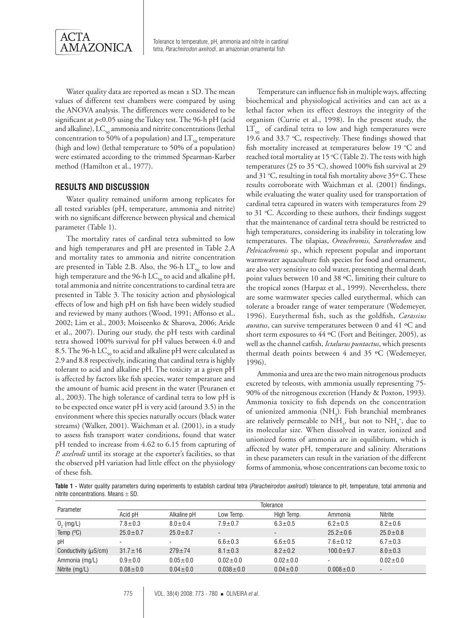

Water quality data are reported as mean  $\pm$  SD. The mean values of different test chambers were compared by using the ANOVA analysis. The differences were considered to be significant at *p*<0.05 using the Tukey test. The 96-h pH (acid and alkaline),  $LC_{50}$  ammonia and nitrite concentrations (lethal concentration to 50% of a population) and  $LT_{50}$  temperature (high and low) (lethal temperature to 50% of a population) were estimated according to the trimmed Spearman-Karber method (Hamilton et al., 1977).

# **RESULTS AND DISCUSSION**

Water quality remained uniform among replicates for all tested variables (pH, temperature, ammonia and nitrite) with no significant difference between physical and chemical parameter (Table 1).

The mortality rates of cardinal tetra submitted to low and high temperatures and pH are presented in Table 2.A and mortality rates to ammonia and nitrite concentration are presented in Table 2.B. Also, the 96-h  $LT_{50}$  to low and high temperature and the 96-h LC<sub>50</sub> to acid and alkaline pH, total ammonia and nitrite concentrations to cardinal tetra are presented in Table 3. The toxicity action and physiological effects of low and high pH on fish have been widely studied and reviewed by many authors (Wood, 1991; Affonso et al., 2002; Lim et al., 2003; Moiseenko & Sharova, 2006; Aride et al., 2007). During our study, the pH tests with cardinal tetra showed 100% survival for pH values between 4.0 and 8.5. The 96-h LC $_{50}$  to acid and alkaline pH were calculated as 2.9 and 8.8 respectively, indicating that cardinal tetra is highly tolerant to acid and alkaline pH. The toxicity at a given pH is affected by factors like fish species, water temperature and the amount of humic acid present in the water (Peuranen et al., 2003). The high tolerance of cardinal tetra to low pH is to be expected once water pH is very acid (around 3.5) in the environment where this species naturally occurs (black water streams) (Walker, 2001). Waichman et al. (2001), in a study to assess fish transport water conditions, found that water pH tended to increase from 4.62 to 6.15 from capturing of *P. axelrodi* until its storage at the exporter's facilities, so that the observed pH variation had little effect on the physiology of these fish.

Temperature can influence fish in multiple ways, affecting biochemical and physiological activities and can act as a lethal factor when its effect destroys the integrity of the organism (Currie et al., 1998). In the present study, the  $LT_{50}$  of cardinal tetra to low and high temperatures were 19.6 and 33.7 °C, respectively. These findings showed that fish mortality increased at temperatures below 19  $^{\circ}$ C and reached total mortality at 15 °C (Table 2). The tests with high temperatures (25 to 35 °C), showed 100% fish survival at 29 and 31 °C, resulting in total fish mortality above 35° C. These results corroborate with Waichman et al. (2001) findings, while evaluating the water quality used for transportation of cardinal tetra captured in waters with temperatures from 29 to 31 °C. According to these authors, their findings suggest that the maintenance of cardinal tetra should be restricted to high temperatures, considering its inability in tolerating low temperatures. The tilapias, *Oreochromis, Sarotherodon* and *Pelvicachromis* sp., which represent popular and important warmwater aquaculture fish species for food and ornament, are also very sensitive to cold water, presenting thermal death point values between 10 and 38 ºC, limiting their culture to the tropical zones (Harpaz et al., 1999). Nevertheless, there are some warmwater species called eurythermal, which can tolerate a broader range of water temperature (Wedemeyer, 1996). Eurythermal fish, such as the goldfish, *Carassius auratus*, can survive temperatures between 0 and 41 ºC and short term exposures to 44 ºC (Fort and Beitinger, 2005), as well as the channel catfish, *Ictalurus puntactus*, which presents thermal death points between 4 and 35 ºC (Wedemeyer, 1996).

Ammonia and urea are the two main nitrogenous products excreted by teleosts, with ammonia usually representing 75- 90% of the nitrogenous excretion (Handy & Poxton, 1993). Ammonia toxicity to fish depends on the concentration of unionized ammonia (NH<sub>3</sub>). Fish branchial membranes are relatively permeable to  $NH_{3}$ , but not to  $NH_{4}^{\ast}$ , due to its molecular size. When dissolved in water, ionized and unionized forms of ammonia are in equilibrium, which is affected by water pH, temperature and salinity. Alterations in these parameters can result in the variation of the different forms of ammonia, whose concentrations can become toxic to

**Table 1 -** Water quality parameters during experiments to establish cardinal tetra (*Paracheirodon axelrodi*) tolerance to pH, temperature, total ammonia and nitrite concentrations. Means  $\pm$  SD.

| Parameter                  | <b>Tolerance</b> |                |                |                |                 |                          |  |
|----------------------------|------------------|----------------|----------------|----------------|-----------------|--------------------------|--|
|                            | Acid pH          | Alkaline pH    | Low Temp.      | High Temp.     | Ammonia         | Nitrite                  |  |
| 0, (mg/L)                  | $7.8 + 0.3$      | $8.0 + 0.4$    | $7.9 \pm 0.7$  | $6.3 + 0.5$    | $6.2 + 0.5$     | $8.2 + 0.6$              |  |
| Temp $(^{\circ}C)$         | $25.0 \pm 0.7$   | $25.0 \pm 0.7$ | -              | -              | $25.2 \pm 0.6$  | $25.0 \pm 0.8$           |  |
| рH                         | -                |                | $6.6 \pm 0.3$  | $6.6 \pm 0.5$  | $7.6 \pm 0.12$  | $6.7 \pm 0.3$            |  |
| Conductivity ( $\mu$ S/cm) | $31.7 \pm 16$    | $279 + 74$     | $8.1 \pm 0.3$  | $8.2 \pm 0.2$  | $100.0 \pm 9.7$ | $8.0 \pm 0.3$            |  |
| Ammonia (mg/L)             | $0.9 + 0.0$      | $0.05 + 0.0$   | $0.02 \pm 0.0$ | $0.02 \pm 0.0$ |                 | $0.02 \pm 0.0$           |  |
| Nitrite (mg/L)             | $0.08 + 0.0$     | $0.04 \pm 0.0$ | $0.038 + 0.0$  | $0.04 \pm 0.0$ | $0.008 + 0.0$   | $\overline{\phantom{a}}$ |  |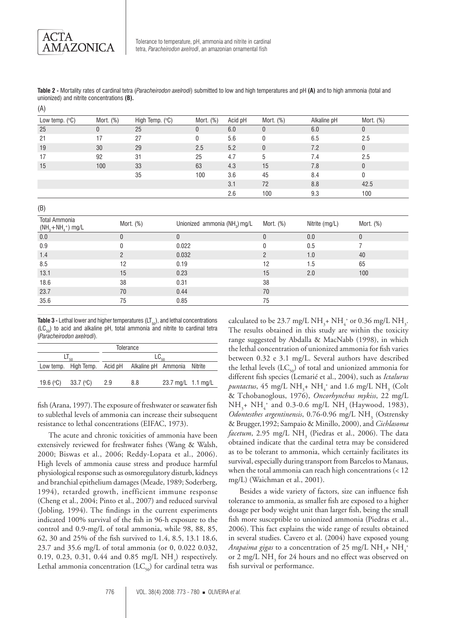ACTA AMAZONICA

 $(A)$ 

Tolerance to temperature, pH, ammonia and nitrite in cardinal tetra, *Paracheirodon axelrodi*, an amazonian ornamental fish

**Table 2 -** Mortality rates of cardinal tetra (*Paracheirodon axelrodi*) submitted to low and high temperatures and pH **(A)** and to high ammonia (total and unionized) and nitrite concentrations **(B).**

| $\mathcal{L}$ $\mathcal{L}$ |             |                 |                                           |         |                |                |             |
|-----------------------------|-------------|-----------------|-------------------------------------------|---------|----------------|----------------|-------------|
| Low temp. $(^{\circ}C)$     | Mort. (%)   | High Temp. (°C) | Mort. (%)                                 | Acid pH | Mort. (%)      | Alkaline pH    | Mort. (%)   |
| 25                          | 0           | 25              | 0                                         | 6.0     | $\mathbf{0}$   | 6.0            | $\pmb{0}$   |
| 21                          | 17          | 27              | 0                                         | 5.6     | 0              | 6.5            | 2.5         |
| 19                          | 30          | 29              | 2.5                                       | 5.2     | $\pmb{0}$      | 7.2            | $\mathbf 0$ |
| 17                          | 92          | 31              | 25                                        | 4.7     | 5              | 7.4            | 2.5         |
| 15                          | 100         | 33              | 63                                        | 4.3     | 15             | $7.8\,$        | $\pmb{0}$   |
|                             |             | 35              | 100                                       | 3.6     | 45             | 8.4            | $\mathbf 0$ |
|                             |             |                 |                                           | 3.1     | 72             | $8.8\,$        | 42.5        |
|                             |             |                 |                                           | 2.6     | 100            | 9.3            | 100         |
| (B)<br>Total Ammonia        |             |                 |                                           |         |                |                |             |
| $(NH_3 + NH_4^+)$ mg/L      |             | Mort. (%)       | Unionized ammonia (NH <sub>3</sub> ) mg/L |         | Mort. (%)      | Nitrite (mg/L) | Mort. (%)   |
| 0.0                         | $\mathbf 0$ |                 | $\mathbf 0$                               |         | $\mathbf{0}$   | 0.0            | $\mathbf 0$ |
| 0.9                         | 0           |                 | 0.022                                     |         | 0              | 0.5            | 7           |
| $1.4$                       | 2           |                 | 0.032                                     |         | $\overline{2}$ | 1.0            | 40          |
| 8.5                         | 12          |                 | 0.19                                      |         | 12             | 1.5            | 65          |
| 13.1                        | 15          |                 | 0.23                                      |         | 15             | 2.0            | 100         |
| 18.6                        | 38          |                 | 0.31                                      |         | 38             |                |             |
| 23.7                        | 70          |                 | 0.44                                      |         | 70             |                |             |
| 35.6                        | 75          |                 | 0.85                                      |         | 75             |                |             |

**Table 3 -** Lethal lower and higher temperatures (LT<sub>50</sub>), and lethal concentrations  $(LC_{50})$  to acid and alkaline pH, total ammonia and nitrite to cardinal tetra (*Paracheirodon axelrodi*).

| <b>Tolerance</b> |                                                          |                       |     |                    |  |  |  |  |
|------------------|----------------------------------------------------------|-----------------------|-----|--------------------|--|--|--|--|
|                  |                                                          | $\mathsf{LC}_{_{50}}$ |     |                    |  |  |  |  |
|                  | Low temp. High Temp. Acid pH Alkaline pH Ammonia Nitrite |                       |     |                    |  |  |  |  |
|                  |                                                          |                       |     |                    |  |  |  |  |
| 19.6 (°C)        | 33.7 (°C)                                                | 2.9                   | 8.8 | 23.7 mg/L 1.1 mg/L |  |  |  |  |

fish (Arana, 1997). The exposure of freshwater or seawater fish to sublethal levels of ammonia can increase their subsequent resistance to lethal concentrations (EIFAC, 1973).

The acute and chronic toxicities of ammonia have been extensively reviewed for freshwater fishes (Wang & Walsh, 2000; Biswas et al., 2006; Reddy-Lopata et al., 2006). High levels of ammonia cause stress and produce harmful physiological response such as osmoregulatory disturb, kidneys and branchial epithelium damages (Meade, 1989; Soderberg, 1994), retarded growth, inefficient immune response (Cheng et al., 2004; Pinto et al., 2007) and reduced survival (Jobling, 1994). The findings in the current experiments indicated 100% survival of the fish in 96-h exposure to the control and 0.9-mg/L of total ammonia, while 98, 88, 85, 62, 30 and 25% of the fish survived to 1.4, 8.5, 13.1 18.6, 23.7 and 35.6 mg/L of total ammonia (or 0, 0.022 0.032, 0.19, 0.23, 0.31, 0.44 and 0.85 mg/L  $NH_3$ ) respectively. Lethal ammonia concentration  $(LC_{50})$  for cardinal tetra was

calculated to be 23.7 mg/L  $NH_3^+$  NH<sub>4</sub><sup>+</sup> or 0.36 mg/L NH<sub>3</sub>. The results obtained in this study are within the toxicity range suggested by Abdalla & MacNabb (1998), in which the lethal concentration of unionized ammonia for fish varies between 0.32 e 3.1 mg/L. Several authors have described the lethal levels ( $LC_{50}$ ) of total and unionized ammonia for different fish species (Lemarié et al., 2004), such as *Ictalurus*   $p$ *untactus*, 45 mg/L NH<sub>3</sub>+ NH<sub>4</sub><sup>+</sup> and 1.6 mg/L NH<sub>3</sub> (Colt & Tchobanoglous, 1976), *Oncorhynchus mykiss*, 22 mg/L  $NH_{3}$ +  $NH_{4}$ <sup>+</sup> and 0.3-0.6 mg/L NH<sub>3</sub> (Haywood, 1983), Odontesthes argentinensis, 0.76-0.96 mg/L NH<sub>3</sub> (Ostrensky & Brugger,1992; Sampaio & Minillo, 2000), and *Cichlasoma facetum*, 2.95 mg/L NH<sub>3</sub> (Piedras et al., 2006). The data obtained indicate that the cardinal tetra may be considered as to be tolerant to ammonia, which certainly facilitates its survival, especially during transport from Barcelos to Manaus, when the total ammonia can reach high concentrations (< 12 mg/L) (Waichman et al., 2001).

Besides a wide variety of factors, size can influence fish tolerance to ammonia, as smaller fish are exposed to a higher dosage per body weight unit than larger fish, being the small fish more susceptible to unionized ammonia (Piedras et al., 2006). This fact explains the wide range of results obtained in several studies. Cavero et al. (2004) have exposed young *Arapaima gigas* to a concentration of 25 mg/L  $NH_{3}$ +  $NH_{4}^{+}$ or 2 mg/L NH<sub>3</sub> for 24 hours and no effect was observed on fish survival or performance.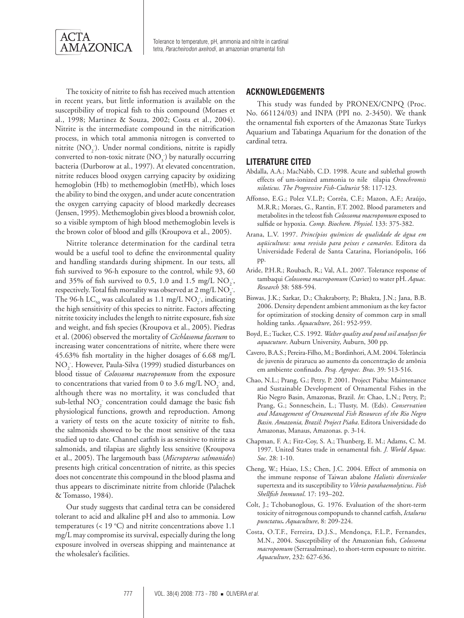

The toxicity of nitrite to fish has received much attention in recent years, but little information is available on the susceptibility of tropical fish to this compound (Moraes et al., 1998; Martinez & Souza, 2002; Costa et al., 2004). Nitrite is the intermediate compound in the nitrification process, in which total ammonia nitrogen is converted to nitrite  $(NO<sub>2</sub>)$ . Under normal conditions, nitrite is rapidly converted to non-toxic nitrate  $(\text{NO}_3^-)$  by naturally occurring bacteria (Durborow at al., 1997). At elevated concentration, nitrite reduces blood oxygen carrying capacity by oxidizing hemoglobin (Hb) to methemoglobin (metHb), which loses the ability to bind the oxygen, and under acute concentration the oxygen carrying capacity of blood markedly decreases (Jensen, 1995). Methemoglobin gives blood a brownish color, so a visible symptom of high blood methemoglobin levels is the brown color of blood and gills (Kroupova et al., 2005).

Nitrite tolerance determination for the cardinal tetra would be a useful tool to define the environmental quality and handling standards during shipment. In our tests, all fish survived to 96-h exposure to the control, while 93, 60 and 35% of fish survived to 0.5, 1.0 and 1.5 mg/L  $NO<sub>2</sub>$ , respectively. Total fish mortality was observed at 2 mg/L  $\mathrm{NO}_2$ . The 96-h  $LC_{50}$  was calculated as 1.1 mg/L  $NO_2^-$ , indicating the high sensitivity of this species to nitrite. Factors affecting nitrite toxicity includes the length to nitrite exposure, fish size and weight, and fish species (Kroupova et al., 2005). Piedras et al. (2006) observed the mortality of *Cichlasoma facetum* to increasing water concentrations of nitrite, where there were 45.63% fish mortality in the higher dosages of 6.68 mg/L NO<sub>2</sub>. However, Paula-Silva (1999) studied disturbances on blood tissue of *Colossoma macropomum* from the exposure to concentrations that varied from 0 to 3.6 mg/L  $NO_2^-$  and, although there was no mortality, it was concluded that sub-lethal  $NO_2^-$  concentration could damage the basic fish physiological functions, growth and reproduction. Among a variety of tests on the acute toxicity of nitrite to fish, the salmonids showed to be the most sensitive of the taxa studied up to date. Channel catfish is as sensitive to nitrite as salmonids, and tilapias are slightly less sensitive (Kroupova et al., 2005). The largemouth bass (*Micropterus salmonides*) presents high critical concentration of nitrite, as this species does not concentrate this compound in the blood plasma and thus appears to discriminate nitrite from chloride (Palachek & Tomasso, 1984).

Our study suggests that cardinal tetra can be considered tolerant to acid and alkaline pH and also to ammonia. Low temperatures (< 19 °C) and nitrite concentrations above 1.1 mg/L may compromise its survival, especially during the long exposure involved in overseas shipping and maintenance at the wholesaler's facilities.

# **ACKNOWLEDGEMENTS**

This study was funded by PRONEX/CNPQ (Proc. No. 661124/03) and INPA (PPI no. 2-3450). We thank the ornamental fish exporters of the Amazonas State Turkys Aquarium and Tabatinga Aquarium for the donation of the cardinal tetra.

### **LITERATURE CITED**

- Abdalla, A.A.; MacNabb, C.D. 1998. Acute and sublethal growth effects of um-ionized ammonia to nile tilapia *Oreochromis niloticus. The Progressive Fish-Culturist* 58: 117-123.
- Affonso, E.G.; Polez V.L.P.; Corrêa, C.F.; Mazon, A.F.; Araújo, M.R.R.; Moraes, G., Rantin, F.T. 2002. Blood parameters and metabolites in the teleost fish *Colossoma macropomum* exposed to sulfide or hypoxia. *Comp. Biochem. Physiol*. 133: 375-382.
- Arana, L.V. 1997. *Princípios químicos de qualidade de água em aqüicultura: uma revisão para peixes e camarões*. Editora da Universidade Federal de Santa Catarina, Florianópolis, 166 pp.
- Aride, P.H.R.; Roubach, R.; Val, A.L. 2007. Tolerance response of tambaqui *Colossoma macropomum* (Cuvier) to water pH. *Aquac. Research* 38: 588-594.
- Biswas, J.K.; Sarkar, D.; Chakraborty, P.; Bhakta, J.N.; Jana, B.B. 2006. Density dependent ambient ammonium as the key factor for optimization of stocking density of common carp in small holding tanks. *Aquaculture*, 261: 952-959.
- Boyd, E.; Tucker, C.S. 1992. *Walter quality and pond soil analyses for aquacuture*. Auburn University, Auburn, 300 pp.
- Cavero, B.A.S.; Pereira-Filho, M.; Bordinhori, A.M. 2004. Tolerância de juvenis de pirarucu ao aumento da concentração de amônia em ambiente confinado. *Pesq. Agropec. Bras*. 39: 513-516.
- Chao, N.L.; Prang, G.; Petry, P. 2001. Project Piaba: Maintenance and Sustainable Development of Ornamental Fishes in the Rio Negro Basin, Amazonas, Brazil. *In*: Chao, L.N.; Petry, P.; Prang, G.; Sonneschein, L.; Tlusty, M. (Eds). *Conservation and Management of Ornamental Fish Resources of the Rio Negro Basin. Amazonia, Brazil: Project Piaba*. Editora Universidade do Amazonas, Manaus, Amazonas. p. 3-14.
- Chapman, F. A.; Fitz-Coy, S. A.; Thunberg, E. M.; Adams, C. M. 1997. United States trade in ornamental fish. *J. World Aquac. Soc*. 28: 1-10.
- Cheng, W.; Hsiao, I.S.; Chen, J.C. 2004. Effect of ammonia on the immune response of Taiwan abalone *Haliotis diversicolor* supertexta and its susceptibility to *Vibrio parahaemolyticus*. *Fish Shellfish Immunol*. 17: 193–202.
- Colt, J.; Tchobanoglous, G. 1976. Evaluation of the short-term toxicity of nitrogenous compopunds to channel catfish, *Ictalurus punctatus***.** *Aquaculture*, 8: 209-224.
- Costa, O.T.F., Ferreira, D.J.S., Mendonça, F.L.P., Fernandes, M.N., 2004. Susceptibility of the Amazonian fish, *Colossoma macropomum* (Serrasalminae), to short-term exposure to nitrite. *Aquaculture*, 232: 627-636.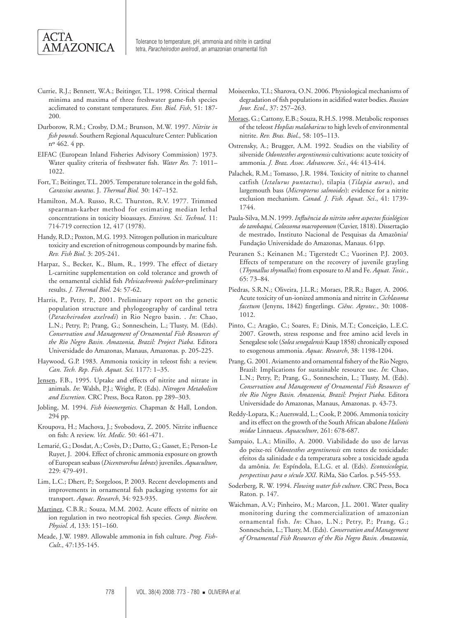

- Currie, R.J.; Bennett, W.A.; Beitinger, T.L. 1998. Critical thermal minima and maxima of three freshwater game-fish species acclimated to constant temperatures. *Env. Biol. Fish*, 51: 187- 200.
- Durborow, R.M.; Crosby, D.M.; Brunson, M.W. 1997. *Nitrite in fish pounds*. Southern Regional Aquaculture Center: Publication nº 462. 4 pp.
- EIFAC (European Inland Fisheries Advisory Commission) 1973. Water quality criteria of freshwater fish. *Water Res.* 7: 1011– 1022.
- Fort, T.; Beitinger, T.L. 2005. Temperature tolerance in the gold fish, *Carassius auratus*. J. *Thermal Biol.* 30: 147–152.
- Hamilton, M.A. Russo, R.C. Thurston, R.V. 1977. Trimmed spearman-karber method for estimating median lethal concentrations in toxicity bioassays. *Environ. Sci. Technol*. 11: 714-719 correction 12, 417 (1978).
- Handy, R.D.; Poxton, M.G. 1993. Nitrogen pollution in mariculture toxicity and excretion of nitrogenous compounds by marine fish. *Rev. Fish Biol*. 3: 205-241.
- Harpaz, S., Becker, K., Blum, R., 1999. The effect of dietary L-carnitine supplementation on cold tolerance and growth of the ornamental cichlid fish *Pelvicachromis pulcher-*preliminary results. *J. Thermal Biol*. 24: 57-62.
- Harris, P., Petry, P., 2001. Preliminary report on the genetic population structure and phylogeography of cardinal tetra (*Paracheirodon axelrodi*) in Rio Negro basin. . *In*: Chao, L.N.; Petry, P.; Prang, G.; Sonneschein, L.; Tlusty, M. (Eds). *Conservation and Management of Ornamental Fish Resources of the Rio Negro Basin. Amazonia, Brazil: Project Piaba*. Editora Universidade do Amazonas, Manaus, Amazonas. p. 205-225.
- Haywood, G.P. 1983. Ammonia toxicity in teleost fish: a review. *Can. Tech. Rep. Fish. Aquat. Sci.* 1177: 1–35.
- Jensen, F.B., 1995. Uptake and effects of nitrite and nitrate in animals. *In*: Walsh, P.J.; Wright, P. (Eds). *Nitrogen Metabolism and Excretion*. CRC Press, Boca Raton. pp 289–303.
- Jobling, M. 1994. *Fish bioenergetics*. Chapman & Hall, London. 294 pp.
- Kroupova, H.; Machova, J.; Svobodova, Z. 2005. Nitrite influence on fish: A review. *Vet. Medic.* 50: 461-471.
- Lemarié, G.; Dosdat, A.; Covès, D.; Dutto, G.; Gasset, E.; Person-Le Ruyet, J. 2004. Effect of chronic ammonia exposure on growth of European seabass (*Dicentrarchus labrax*) juveniles. *Aquaculture*, 229: 479-491.
- Lim, L.C.; Dhert, P.; Sorgeloos, P. 2003. Recent developments and improvements in ornamental fish packaging systems for air transport. *Aquac. Research*, 34: 923-935.
- Martinez, C.B.R.; Souza, M.M. 2002. Acute effects of nitrite on ion regulation in two neotropical fish species. *Comp. Biochem. Physiol. A*, 133: 151–160.
- Meade, J.W. 1989. Allowable ammonia in fish culture. *Prog. Fish-Cult*., 47:135-145.
- Moiseenko, T.I.; Sharova, O.N. 2006. Physiological mechanisms of degradation of fish populations in acidified water bodies. *Russian Jour. Ecol*., 37: 257–263.
- Moraes, G.; Cattony, E.B.; Souza, R.H.S. 1998. Metabolic responses of the teleost *Hoplias malabaricus* to high levels of environmental nitrite. *Rev. Bras. Biol*., 58: 105–113.
- Ostrensky, A.; Brugger, A.M. 1992. Studies on the viability of silverside *Odontesthes argentinensis* cultivations: acute toxicity of ammonia. *J. Braz. Assoc. Advancem. Sci*., 44: 413-414.
- Palachek, R.M.; Tomasso, J.R. 1984. Toxicity of nitrite to channel catfish (*Ictalurus puntactus*), tilapia (*Tilapia aurus*), and largemouth bass (*Micropterus salmoides*): evidence for a nitrite exclusion mechanism. *Canad. J. Fish. Aquat. Sci*., 41: 1739- 1744.
- Paula-Silva, M.N. 1999. *Influência do nitrito sobre aspectos fisiológicos do tambaqui, Colossoma macropomum* (Cuvier, 1818). Dissertação de mestrado, Instituto Nacional de Pesquisas da Amazônia/ Fundação Universidade do Amazonas, Manaus. 61pp.
- Peuranen S.; Keinanen M.; Tigerstedt C.; Vuorinen P.J. 2003. Effects of temperature on the recovery of juvenile grayling (*Thymallus thymallus*) from exposure to Al and Fe. *Aquat. Toxic.*, 65: 73–84.
- Piedras, S.R.N.; Oliveira, J.L.R.; Moraes, P.R.R.; Bager, A. 2006. Acute toxicity of un-ionized ammonia and nitrite in *Cichlasoma facetum* (Jenyns, 1842) fingerlings. *Ciênc. Agrotec.*, 30: 1008- 1012.
- Pinto, C.; Aragão, C.; Soares, F.; Dinis, M.T.; Conceição, L.E.C. 2007. Growth, stress response and free amino acid levels in Senegalese sole (*Solea senegalensis* Kaup 1858) chronically exposed to exogenous ammonia. *Aquac. Research*, 38: 1198-1204.
- Prang, G. 2001. Aviamento and ornamental fishery of the Rio Negro, Brazil: Implications for sustainable resource use. *In*: Chao, L.N.; Petry, P.; Prang, G., Sonneschein, L.; Tlusty, M. (Eds). *Conservation and Management of Ornamental Fish Resources of the Rio Negro Basin. Amazonia, Brazil: Project Piaba*. Editora Universidade do Amazonas, Manaus, Amazonas. p. 43-73.
- Reddy-Lopata, K.; Auerswald, L.; Cook, P. 2006. Ammonia toxicity and its effect on the growth of the South African abalone *Haliotis midae* Linnaeus. *Aquaculture*, 261: 678-687.
- Sampaio, L.A.; Minillo, A. 2000. Viabilidade do uso de larvas do peixe-rei *Odontesthes argentinensis* em testes de toxicidade: efeitos da salinidade e da temperatura sobre a toxicidade aguda da amônia. *In*: Espíndola, E.L.G. et al. (Eds). *Ecotoxicologia, perspectivas para o século XXI*. RiMa, São Carlos. p.545-553.
- Soderberg, R. W. 1994. *Flowing water fish culture*. CRC Press, Boca Raton. p. 147.
- Waichman, A.V.; Pinheiro, M.; Marcon, J.L. 2001. Water quality monitoring during the commercialization of amazonian ornamental fish. *In*: Chao, L.N.; Petry, P.; Prang, G.; Sonneschein, L.; Tlusty, M. (Eds). *Conservation and Management of Ornamental Fish Resources of the Rio Negro Basin. Amazonia,*